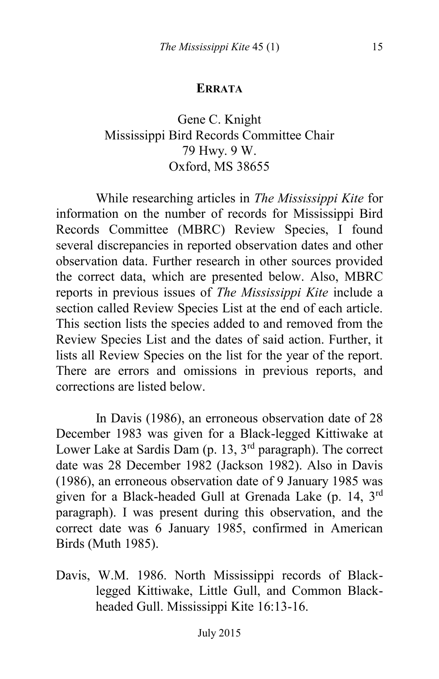## **ERRATA**

## Gene C. Knight Mississippi Bird Records Committee Chair 79 Hwy. 9 W. Oxford, MS 38655

While researching articles in *The Mississippi Kite* for information on the number of records for Mississippi Bird Records Committee (MBRC) Review Species, I found several discrepancies in reported observation dates and other observation data. Further research in other sources provided the correct data, which are presented below. Also, MBRC reports in previous issues of *The Mississippi Kite* include a section called Review Species List at the end of each article. This section lists the species added to and removed from the Review Species List and the dates of said action. Further, it lists all Review Species on the list for the year of the report. There are errors and omissions in previous reports, and corrections are listed below.

In Davis (1986), an erroneous observation date of 28 December 1983 was given for a Black-legged Kittiwake at Lower Lake at Sardis Dam (p. 13, 3<sup>rd</sup> paragraph). The correct date was 28 December 1982 (Jackson 1982). Also in Davis (1986), an erroneous observation date of 9 January 1985 was given for a Black-headed Gull at Grenada Lake (p. 14, 3rd paragraph). I was present during this observation, and the correct date was 6 January 1985, confirmed in American Birds (Muth 1985).

Davis, W.M. 1986. North Mississippi records of Blacklegged Kittiwake, Little Gull, and Common Blackheaded Gull. Mississippi Kite 16:13-16.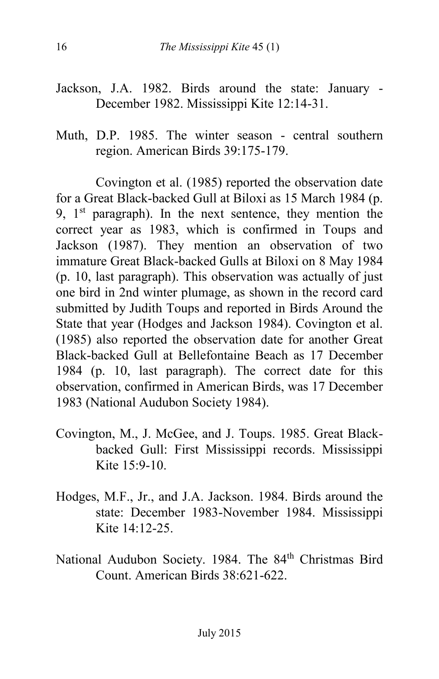- Jackson, J.A. 1982. Birds around the state: January December 1982. Mississippi Kite 12:14-31.
- Muth, D.P. 1985. The winter season central southern region. American Birds 39:175-179.

Covington et al. (1985) reported the observation date for a Great Black-backed Gull at Biloxi as 15 March 1984 (p. 9,  $1<sup>st</sup>$  paragraph). In the next sentence, they mention the correct year as 1983, which is confirmed in Toups and Jackson (1987). They mention an observation of two immature Great Black-backed Gulls at Biloxi on 8 May 1984 (p. 10, last paragraph). This observation was actually of just one bird in 2nd winter plumage, as shown in the record card submitted by Judith Toups and reported in Birds Around the State that year (Hodges and Jackson 1984). Covington et al. (1985) also reported the observation date for another Great Black-backed Gull at Bellefontaine Beach as 17 December 1984 (p. 10, last paragraph). The correct date for this observation, confirmed in American Birds, was 17 December 1983 (National Audubon Society 1984).

- Covington, M., J. McGee, and J. Toups. 1985. Great Blackbacked Gull: First Mississippi records. Mississippi Kite 15:9-10.
- Hodges, M.F., Jr., and J.A. Jackson. 1984. Birds around the state: December 1983-November 1984. Mississippi Kite 14:12-25.
- National Audubon Society. 1984. The 84<sup>th</sup> Christmas Bird Count. American Birds 38:621-622.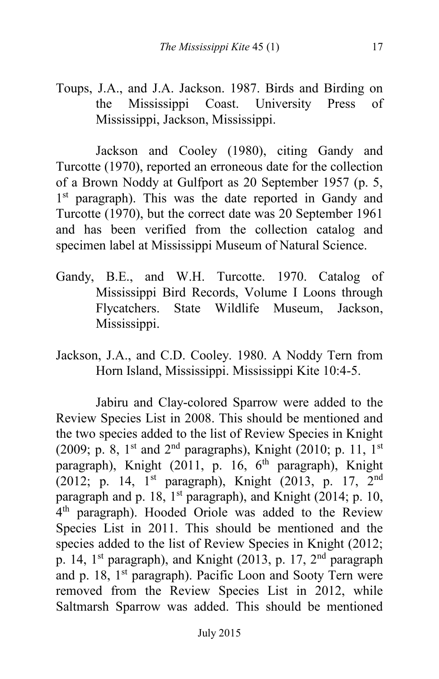Toups, J.A., and J.A. Jackson. 1987. Birds and Birding on the Mississippi Coast. University Press of Mississippi, Jackson, Mississippi.

Jackson and Cooley (1980), citing Gandy and Turcotte (1970), reported an erroneous date for the collection of a Brown Noddy at Gulfport as 20 September 1957 (p. 5, 1<sup>st</sup> paragraph). This was the date reported in Gandy and Turcotte (1970), but the correct date was 20 September 1961 and has been verified from the collection catalog and specimen label at Mississippi Museum of Natural Science.

- Gandy, B.E., and W.H. Turcotte. 1970. Catalog of Mississippi Bird Records, Volume I Loons through Flycatchers. State Wildlife Museum, Jackson, Mississippi.
- Jackson, J.A., and C.D. Cooley. 1980. A Noddy Tern from Horn Island, Mississippi. Mississippi Kite 10:4-5.

Jabiru and Clay-colored Sparrow were added to the Review Species List in 2008. This should be mentioned and the two species added to the list of Review Species in Knight (2009; p. 8, 1st and 2<sup>nd</sup> paragraphs), Knight (2010; p. 11, 1st paragraph), Knight (2011, p. 16, 6<sup>th</sup> paragraph), Knight (2012; p. 14, 1st paragraph), Knight (2013, p. 17, 2nd paragraph and p. 18, 1<sup>st</sup> paragraph), and Knight (2014; p. 10, 4 th paragraph). Hooded Oriole was added to the Review Species List in 2011. This should be mentioned and the species added to the list of Review Species in Knight (2012; p. 14, 1<sup>st</sup> paragraph), and Knight (2013, p. 17, 2<sup>nd</sup> paragraph and p. 18, 1<sup>st</sup> paragraph). Pacific Loon and Sooty Tern were removed from the Review Species List in 2012, while Saltmarsh Sparrow was added. This should be mentioned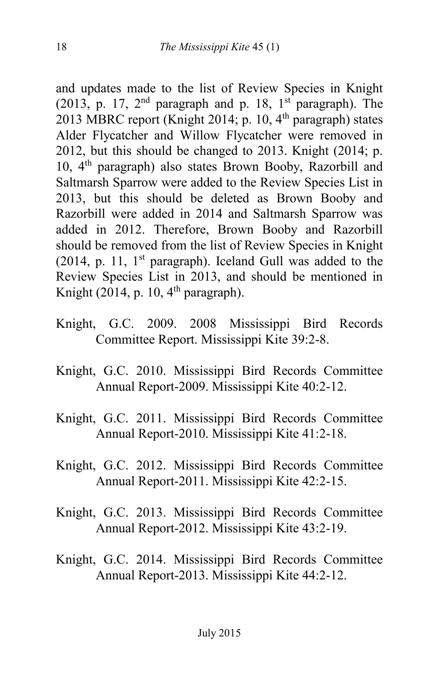and updates made to the list of Review Species in Knight (2013, p. 17,  $2<sup>nd</sup>$  paragraph and p. 18, 1<sup>st</sup> paragraph). The 2013 MBRC report (Knight 2014; p. 10,  $4<sup>th</sup>$  paragraph) states Alder Flycatcher and Willow Flycatcher were removed in 2012, but this should be changed to 2013. Knight (2014; p. 10, 4th paragraph) also states Brown Booby, Razorbill and Saltmarsh Sparrow were added to the Review Species List in 2013, but this should be deleted as Brown Booby and Razorbill were added in 2014 and Saltmarsh Sparrow was added in 2012. Therefore, Brown Booby and Razorbill should be removed from the list of Review Species in Knight (2014, p. 11,  $1<sup>st</sup>$  paragraph). Iceland Gull was added to the Review Species List in 2013, and should be mentioned in Knight (2014, p. 10,  $4<sup>th</sup>$  paragraph).

- Knight, G.C. 2009. 2008 Mississippi Bird Records Committee Report. Mississippi Kite 39:2-8.
- Knight, G.C. 2010. Mississippi Bird Records Committee Annual Report-2009. Mississippi Kite 40:2-12.
- Knight, G.C. 2011. Mississippi Bird Records Committee Annual Report-2010. Mississippi Kite 41:2-18.
- Knight, G.C. 2012. Mississippi Bird Records Committee Annual Report-2011. Mississippi Kite 42:2-15.
- Knight, G.C. 2013. Mississippi Bird Records Committee Annual Report-2012. Mississippi Kite 43:2-19.
- Knight, G.C. 2014. Mississippi Bird Records Committee Annual Report-2013. Mississippi Kite 44:2-12.